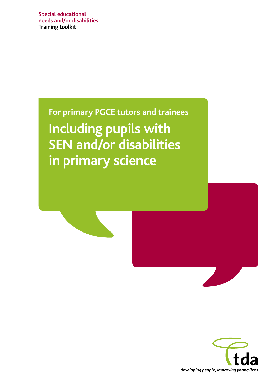**Special educational needs and/or disabilities Training toolkit**

> **For primary PGCE tutors and trainees Including pupils with SEN and/or disabilities in primary science**

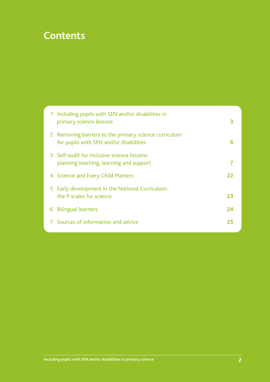## **Contents**

|    | 1 Including pupils with SEN and/or disabilities in<br>primary science lessons                    | 3  |
|----|--------------------------------------------------------------------------------------------------|----|
|    | 2 Removing barriers to the primary science curriculum<br>for pupils with SEN and/or disabilities | 6  |
|    | 3 Self-audit for inclusive science lessons:<br>planning teaching, learning and support           | 7  |
|    | 4 Science and Every Child Matters                                                                | 22 |
| 5. | Early development in the National Curriculum:<br>the P scales for science                        | 23 |
| 6  | <b>Bilingual learners</b>                                                                        | 24 |
|    | 7 Sources of information and advice                                                              | 25 |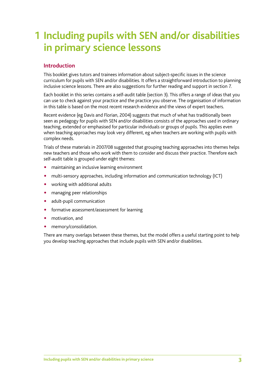# **Including pupils with SEN and/or disabilities 1 in primary science lessons**

### **Introduction**

This booklet gives tutors and trainees information about subject-specific issues in the science curriculum for pupils with SEN and/or disabilities. It offers a straightforward introduction to planning inclusive science lessons. There are also suggestions for further reading and support in section 7.

Each booklet in this series contains a self-audit table (section 3). This offers a range of ideas that you can use to check against your practice and the practice you observe. The organisation of information in this table is based on the most recent research evidence and the views of expert teachers.

Recent evidence (eg Davis and Florian, 2004) suggests that much of what has traditionally been seen as pedagogy for pupils with SEN and/or disabilities consists of the approaches used in ordinary teaching, extended or emphasised for particular individuals or groups of pupils. This applies even when teaching approaches may look very different, eg when teachers are working with pupils with complex needs.

Trials of these materials in 2007/08 suggested that grouping teaching approaches into themes helps new teachers and those who work with them to consider and discuss their practice. Therefore each self-audit table is grouped under eight themes:

- maintaining an inclusive learning environment
- multi-sensory approaches, including information and communication technology (ICT)
- working with additional adults
- managing peer relationships
- adult-pupil communication
- formative assessment/assessment for learning
- motivation, and
- memory/consolidation.

There are many overlaps between these themes, but the model offers a useful starting point to help you develop teaching approaches that include pupils with SEN and/or disabilities.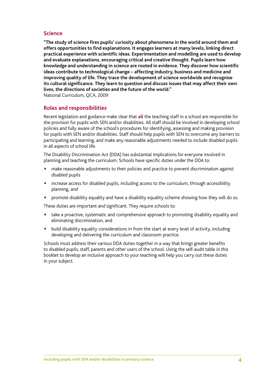#### **Science**

**"The study of science fires pupils' curiosity about phenomena in the world around them and offers opportunities to find explanations. It engages learners at many levels, linking direct practical experience with scientific ideas. Experimentation and modelling are used to develop and evaluate explanations, encouraging critical and creative thought. Pupils learn how knowledge and understanding in science are rooted in evidence. They discover how scientific ideas contribute to technological change – affecting industry, business and medicine and improving quality of life. They trace the development of science worldwide and recognise its cultural significance. They learn to question and discuss issues that may affect their own lives, the directions of societies and the future of the world."** National Curriculum, QCA, 2009

#### **Roles and responsibilities**

Recent legislation and guidance make clear that **all** the teaching staff in a school are responsible for the provision for pupils with SEN and/or disabilities. All staff should be involved in developing school policies and fully aware of the school's procedures for identifying, assessing and making provision for pupils with SEN and/or disabilities. Staff should help pupils with SEN to overcome any barriers to participating and learning, and make any reasonable adjustments needed to include disabled pupils in all aspects of school life.

The Disability Discrimination Act (DDA) has substantial implications for everyone involved in planning and teaching the curriculum. Schools have specific duties under the DDA to:

- make reasonable adjustments to their policies and practice to prevent discrimination against disabled pupils
- increase access for disabled pupils, including access to the curriculum, through accessibility planning, and
- promote disability equality and have a disability equality scheme showing how they will do so.

These duties are important and significant. They require schools to:

- take a proactive, systematic and comprehensive approach to promoting disability equality and eliminating discrimination, and
- build disability equality considerations in from the start at every level of activity, including developing and delivering the curriculum and classroom practice.

Schools must address their various DDA duties together in a way that brings greater benefits to disabled pupils, staff, parents and other users of the school. Using the self-audit table in this booklet to develop an inclusive approach to your teaching will help you carry out these duties in your subject.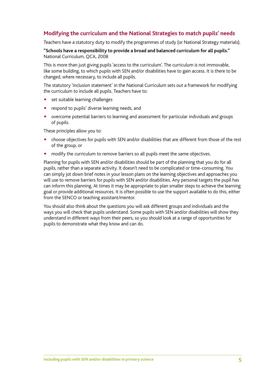### **Modifying the curriculum and the National Strategies to match pupils' needs**

Teachers have a statutory duty to modify the programmes of study (or National Strategy materials).

#### **"Schools have a responsibility to provide a broad and balanced curriculum for all pupils."**  National Curriculum, QCA, 2008

This is more than just giving pupils 'access to the curriculum'. The curriculum is not immovable, like some building, to which pupils with SEN and/or disabilities have to gain access. It is there to be changed, where necessary, to include all pupils.

The statutory 'inclusion statement' in the National Curriculum sets out a framework for modifying the curriculum to include all pupils. Teachers have to:

- set suitable learning challenges
- respond to pupils' diverse learning needs, and
- overcome potential barriers to learning and assessment for particular individuals and groups of pupils.

These principles allow you to:

- choose objectives for pupils with SEN and/or disabilities that are different from those of the rest of the group, or
- modify the curriculum to remove barriers so all pupils meet the same objectives.

Planning for pupils with SEN and/or disabilities should be part of the planning that you do for all pupils, rather than a separate activity. It doesn't need to be complicated or time-consuming. You can simply jot down brief notes in your lesson plans on the learning objectives and approaches you will use to remove barriers for pupils with SEN and/or disabilities. Any personal targets the pupil has can inform this planning. At times it may be appropriate to plan smaller steps to achieve the learning goal or provide additional resources. It is often possible to use the support available to do this, either from the SENCO or teaching assistant/mentor.

You should also think about the questions you will ask different groups and individuals and the ways you will check that pupils understand. Some pupils with SEN and/or disabilities will show they understand in different ways from their peers, so you should look at a range of opportunities for pupils to demonstrate what they know and can do.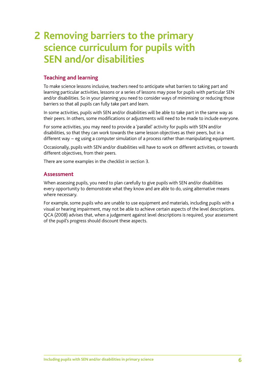## **Removing barriers to the primary 2 science curriculum for pupils with SEN and/or disabilities**

### **Teaching and learning**

To make science lessons inclusive, teachers need to anticipate what barriers to taking part and learning particular activities, lessons or a series of lessons may pose for pupils with particular SEN and/or disabilities. So in your planning you need to consider ways of minimising or reducing those barriers so that all pupils can fully take part and learn.

In some activities, pupils with SEN and/or disabilities will be able to take part in the same way as their peers. In others, some modifications or adjustments will need to be made to include everyone.

For some activities, you may need to provide a 'parallel' activity for pupils with SEN and/or disabilities, so that they can work towards the same lesson objectives as their peers, but in a different way − eg using a computer simulation of a process rather than manipulating equipment.

Occasionally, pupils with SEN and/or disabilities will have to work on different activities, or towards different objectives, from their peers.

There are some examples in the checklist in section 3.

#### **Assessment**

When assessing pupils, you need to plan carefully to give pupils with SEN and/or disabilities every opportunity to demonstrate what they know and are able to do, using alternative means where necessary.

For example, some pupils who are unable to use equipment and materials, including pupils with a visual or hearing impairment, may not be able to achieve certain aspects of the level descriptions. QCA (2008) advises that, when a judgement against level descriptions is required, your assessment of the pupil's progress should discount these aspects.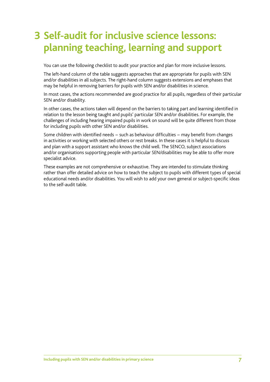# **Self-audit for inclusive science lessons: 3 planning teaching, learning and support**

You can use the following checklist to audit your practice and plan for more inclusive lessons.

The left-hand column of the table suggests approaches that are appropriate for pupils with SEN and/or disabilities in all subjects. The right-hand column suggests extensions and emphases that may be helpful in removing barriers for pupils with SEN and/or disabilities in science.

In most cases, the actions recommended are good practice for all pupils, regardless of their particular SEN and/or disability.

In other cases, the actions taken will depend on the barriers to taking part and learning identified in relation to the lesson being taught and pupils' particular SEN and/or disabilities. For example, the challenges of including hearing impaired pupils in work on sound will be quite different from those for including pupils with other SEN and/or disabilities.

Some children with identified needs – such as behaviour difficulties – may benefit from changes in activities or working with selected others or rest breaks. In these cases it is helpful to discuss and plan with a support assistant who knows the child well. The SENCO, subject associations and/or organisations supporting people with particular SEN/disabilities may be able to offer more specialist advice.

These examples are not comprehensive or exhaustive. They are intended to stimulate thinking rather than offer detailed advice on how to teach the subject to pupils with different types of special educational needs and/or disabilities. You will wish to add your own general or subject-specific ideas to the self-audit table.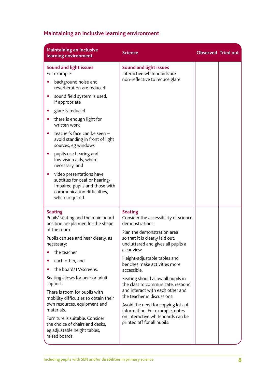## **Maintaining an inclusive learning environment**

| <b>Maintaining an inclusive</b><br>learning environment                                                                                        | <b>Science</b>                                                                                                                             | <b>Observed Tried out</b> |  |  |
|------------------------------------------------------------------------------------------------------------------------------------------------|--------------------------------------------------------------------------------------------------------------------------------------------|---------------------------|--|--|
| <b>Sound and light issues</b><br>For example:                                                                                                  | <b>Sound and light issues</b><br>Interactive whiteboards are                                                                               |                           |  |  |
| background noise and<br>reverberation are reduced                                                                                              | non-reflective to reduce glare.                                                                                                            |                           |  |  |
| sound field system is used,<br>if appropriate                                                                                                  |                                                                                                                                            |                           |  |  |
| glare is reduced<br>$\bullet$                                                                                                                  |                                                                                                                                            |                           |  |  |
| there is enough light for<br>$\bullet$<br>written work                                                                                         |                                                                                                                                            |                           |  |  |
| teacher's face can be seen -<br>avoid standing in front of light<br>sources, eg windows                                                        |                                                                                                                                            |                           |  |  |
| pupils use hearing and<br>low vision aids, where<br>necessary, and                                                                             |                                                                                                                                            |                           |  |  |
| video presentations have<br>subtitles for deaf or hearing-<br>impaired pupils and those with<br>communication difficulties,<br>where required. |                                                                                                                                            |                           |  |  |
| <b>Seating</b><br>Pupils' seating and the main board<br>position are planned for the shape                                                     | <b>Seating</b><br>Consider the accessibility of science<br>demonstrations.                                                                 |                           |  |  |
| of the room.                                                                                                                                   | Plan the demonstration area                                                                                                                |                           |  |  |
| Pupils can see and hear clearly, as<br>necessary:                                                                                              | so that it is clearly laid out,<br>uncluttered and gives all pupils a                                                                      |                           |  |  |
| the teacher                                                                                                                                    | clear view.                                                                                                                                |                           |  |  |
| each other, and                                                                                                                                | Height-adjustable tables and                                                                                                               |                           |  |  |
| the board/TV/screens.                                                                                                                          | benches make activities more<br>accessible.                                                                                                |                           |  |  |
| Seating allows for peer or adult<br>support.                                                                                                   | Seating should allow all pupils in<br>the class to communicate, respond<br>and interact with each other and<br>the teacher in discussions. |                           |  |  |
| There is room for pupils with<br>mobility difficulties to obtain their                                                                         |                                                                                                                                            |                           |  |  |
| own resources, equipment and<br>materials.                                                                                                     | Avoid the need for copying lots of<br>information. For example, notes                                                                      |                           |  |  |
| Furniture is suitable. Consider<br>the choice of chairs and desks,<br>eg adjustable height tables,<br>raised boards.                           | on interactive whiteboards can be<br>printed off for all pupils.                                                                           |                           |  |  |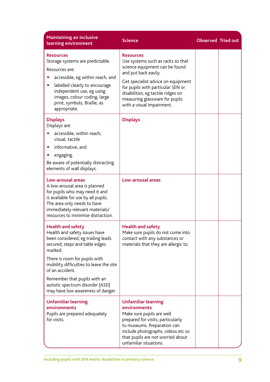| <b>Maintaining an inclusive</b><br>learning environment                                                                                                                                                                                                                                                                                              | <b>Science</b>                                                                                                                                                                                                                                                                                  | <b>Observed Tried out</b> |  |
|------------------------------------------------------------------------------------------------------------------------------------------------------------------------------------------------------------------------------------------------------------------------------------------------------------------------------------------------------|-------------------------------------------------------------------------------------------------------------------------------------------------------------------------------------------------------------------------------------------------------------------------------------------------|---------------------------|--|
| <b>Resources</b><br>Storage systems are predictable.<br>Resources are:<br>accessible, eg within reach, and<br>labelled clearly to encourage<br>independent use, eg using<br>images, colour coding, large<br>print, symbols, Braille, as<br>appropriate.                                                                                              | <b>Resources</b><br>Use systems such as racks so that<br>science equipment can be found<br>and put back easily.<br>Get specialist advice on equipment<br>for pupils with particular SEN or<br>disabilities, eg tactile ridges on<br>measuring glassware for pupils<br>with a visual impairment. |                           |  |
| <b>Displays</b><br>Displays are:<br>accessible, within reach,<br>visual, tactile<br>informative, and<br>$\bullet$<br>engaging.<br>Be aware of potentially distracting<br>elements of wall displays.                                                                                                                                                  | <b>Displays</b>                                                                                                                                                                                                                                                                                 |                           |  |
| <b>Low-arousal areas</b><br>A low-arousal area is planned<br>for pupils who may need it and<br>is available for use by all pupils.<br>The area only needs to have<br>immediately relevant materials/<br>resources to minimise distraction.                                                                                                           | Low-arousal areas                                                                                                                                                                                                                                                                               |                           |  |
| <b>Health and safety</b><br>Health and safety issues have<br>been considered, eg trailing leads<br>secured, steps and table edges<br>marked.<br>There is room for pupils with<br>mobility difficulties to leave the site<br>of an accident.<br>Remember that pupils with an<br>autistic spectrum disorder (ASD)<br>may have low awareness of danger. | <b>Health and safety</b><br>Make sure pupils do not come into<br>contact with any substances or<br>materials that they are allergic to.                                                                                                                                                         |                           |  |
| <b>Unfamiliar learning</b><br>environments<br>Pupils are prepared adequately<br>for visits.                                                                                                                                                                                                                                                          | <b>Unfamiliar learning</b><br>environments<br>Make sure pupils are well<br>prepared for visits, particularly<br>to museums. Preparation can<br>include photographs, videos etc so<br>that pupils are not worried about<br>unfamiliar situations.                                                |                           |  |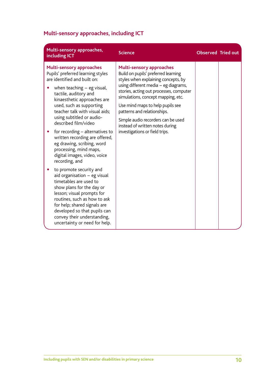## **Multi-sensory approaches, including ICT**

| Multi-sensory approaches,<br>including ICT                                                                                                                                                                                                                                                                                                                                                                                                                                                                                                                                                                                                                                                                                                                                                                       | <b>Science</b>                                                                                                                                                                                                                                                                                                                                                                                                       | <b>Observed Tried out</b> |  |
|------------------------------------------------------------------------------------------------------------------------------------------------------------------------------------------------------------------------------------------------------------------------------------------------------------------------------------------------------------------------------------------------------------------------------------------------------------------------------------------------------------------------------------------------------------------------------------------------------------------------------------------------------------------------------------------------------------------------------------------------------------------------------------------------------------------|----------------------------------------------------------------------------------------------------------------------------------------------------------------------------------------------------------------------------------------------------------------------------------------------------------------------------------------------------------------------------------------------------------------------|---------------------------|--|
| <b>Multi-sensory approaches</b><br>Pupils' preferred learning styles<br>are identified and built on:<br>when teaching $-$ eg visual,<br>tactile, auditory and<br>kinaesthetic approaches are<br>used, such as supporting<br>teacher talk with visual aids;<br>using subtitled or audio-<br>described film/video<br>for recording - alternatives to<br>written recording are offered,<br>eg drawing, scribing, word<br>processing, mind maps,<br>digital images, video, voice<br>recording, and<br>to promote security and<br>aid organisation $-$ eg visual<br>timetables are used to<br>show plans for the day or<br>lesson; visual prompts for<br>routines, such as how to ask<br>for help; shared signals are<br>developed so that pupils can<br>convey their understanding,<br>uncertainty or need for help. | <b>Multi-sensory approaches</b><br>Build on pupils' preferred learning<br>styles when explaining concepts, by<br>using different media - eg diagrams,<br>stories, acting out processes, computer<br>simulations, concept mapping, etc.<br>Use mind maps to help pupils see<br>patterns and relationships.<br>Simple audio recorders can be used<br>instead of written notes during<br>investigations or field trips. |                           |  |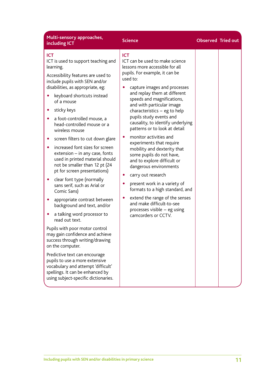| Multi-sensory approaches,<br>including ICT                                                                                                                                                                                                                                                                                                                                                                                                                                                                                                                                                                                                                                                                                                                                                                                                                                                                                                                                                                                                                               | <b>Science</b>                                                                                                                                                                                                                                                                                                                                                                                                                                                                                                                                                                                                                                                                                                                                                                                               | <b>Observed Tried out</b> |  |
|--------------------------------------------------------------------------------------------------------------------------------------------------------------------------------------------------------------------------------------------------------------------------------------------------------------------------------------------------------------------------------------------------------------------------------------------------------------------------------------------------------------------------------------------------------------------------------------------------------------------------------------------------------------------------------------------------------------------------------------------------------------------------------------------------------------------------------------------------------------------------------------------------------------------------------------------------------------------------------------------------------------------------------------------------------------------------|--------------------------------------------------------------------------------------------------------------------------------------------------------------------------------------------------------------------------------------------------------------------------------------------------------------------------------------------------------------------------------------------------------------------------------------------------------------------------------------------------------------------------------------------------------------------------------------------------------------------------------------------------------------------------------------------------------------------------------------------------------------------------------------------------------------|---------------------------|--|
| <b>ICT</b><br>ICT is used to support teaching and<br>learning.<br>Accessibility features are used to<br>include pupils with SEN and/or<br>disabilities, as appropriate, eg:<br>keyboard shortcuts instead<br>of a mouse<br>sticky keys<br>$\bullet$<br>a foot-controlled mouse, a<br>head-controlled mouse or a<br>wireless mouse<br>screen filters to cut down glare<br>increased font sizes for screen<br>extension - in any case, fonts<br>used in printed material should<br>not be smaller than 12 pt (24<br>pt for screen presentations)<br>clear font type (normally<br>$\bullet$<br>sans serif, such as Arial or<br>Comic Sans)<br>appropriate contrast between<br>background and text, and/or<br>a talking word processor to<br>read out text.<br>Pupils with poor motor control<br>may gain confidence and achieve<br>success through writing/drawing<br>on the computer.<br>Predictive text can encourage<br>pupils to use a more extensive<br>vocabulary and attempt 'difficult'<br>spellings. It can be enhanced by<br>using subject-specific dictionaries. | <b>ICT</b><br>ICT can be used to make science<br>lessons more accessible for all<br>pupils. For example, it can be<br>used to:<br>capture images and processes<br>and replay them at different<br>speeds and magnifications,<br>and with particular image<br>characteristics $-$ eg to help<br>pupils study events and<br>causality, to identify underlying<br>patterns or to look at detail<br>monitor activities and<br>۰<br>experiments that require<br>mobility and dexterity that<br>some pupils do not have,<br>and to explore difficult or<br>dangerous environments<br>carry out research<br>present work in a variety of<br>0<br>formats to a high standard, and<br>extend the range of the senses<br>$\bullet$<br>and make difficult-to-see<br>processes visible - eg using<br>camcorders or CCTV. |                           |  |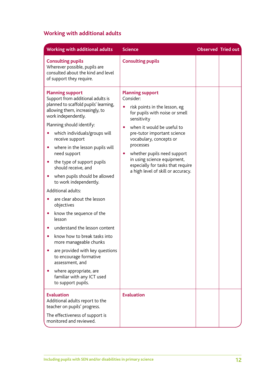## **Working with additional adults**

| Working with additional adults                                                                                                                                                                                                                                                                                                                                                                                                                                                                                                                                                                                                                                                                                                                                                                                                           | <b>Science</b>                                                                                                                                                                                                                                                                                                                                                                                 | <b>Observed Tried out</b> |  |
|------------------------------------------------------------------------------------------------------------------------------------------------------------------------------------------------------------------------------------------------------------------------------------------------------------------------------------------------------------------------------------------------------------------------------------------------------------------------------------------------------------------------------------------------------------------------------------------------------------------------------------------------------------------------------------------------------------------------------------------------------------------------------------------------------------------------------------------|------------------------------------------------------------------------------------------------------------------------------------------------------------------------------------------------------------------------------------------------------------------------------------------------------------------------------------------------------------------------------------------------|---------------------------|--|
| <b>Consulting pupils</b><br>Wherever possible, pupils are<br>consulted about the kind and level<br>of support they require.                                                                                                                                                                                                                                                                                                                                                                                                                                                                                                                                                                                                                                                                                                              | <b>Consulting pupils</b>                                                                                                                                                                                                                                                                                                                                                                       |                           |  |
| <b>Planning support</b><br>Support from additional adults is<br>planned to scaffold pupils' learning,<br>allowing them, increasingly, to<br>work independently.<br>Planning should identify:<br>which individuals/groups will<br>receive support<br>where in the lesson pupils will<br>$\bullet$<br>need support<br>the type of support pupils<br>$\bullet$<br>should receive, and<br>when pupils should be allowed<br>$\bullet$<br>to work independently.<br>Additional adults:<br>are clear about the lesson<br>objectives<br>know the sequence of the<br>$\bullet$<br>lesson<br>understand the lesson content<br>know how to break tasks into<br>more manageable chunks<br>are provided with key questions<br>to encourage formative<br>assessment, and<br>where appropriate, are<br>familiar with any ICT used<br>to support pupils. | <b>Planning support</b><br>Consider:<br>risk points in the lesson, eg<br>for pupils with noise or smell<br>sensitivity<br>when it would be useful to<br>$\bullet$<br>pre-tutor important science<br>vocabulary, concepts or<br>processes<br>whether pupils need support<br>$\bullet$<br>in using science equipment,<br>especially for tasks that require<br>a high level of skill or accuracy. |                           |  |
| <b>Evaluation</b><br>Additional adults report to the<br>teacher on pupils' progress.<br>The effectiveness of support is<br>monitored and reviewed.                                                                                                                                                                                                                                                                                                                                                                                                                                                                                                                                                                                                                                                                                       | <b>Evaluation</b>                                                                                                                                                                                                                                                                                                                                                                              |                           |  |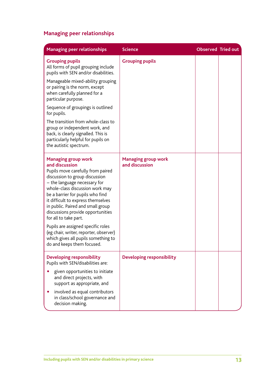## **Managing peer relationships**

| <b>Managing peer relationships</b>                                                                                                                                                                                                                                                                                                                                                                                                                                                                                       | <b>Science</b>                               | <b>Observed Tried out</b> |  |
|--------------------------------------------------------------------------------------------------------------------------------------------------------------------------------------------------------------------------------------------------------------------------------------------------------------------------------------------------------------------------------------------------------------------------------------------------------------------------------------------------------------------------|----------------------------------------------|---------------------------|--|
| <b>Grouping pupils</b><br>All forms of pupil grouping include<br>pupils with SEN and/or disabilities.<br>Manageable mixed-ability grouping<br>or pairing is the norm, except<br>when carefully planned for a<br>particular purpose.<br>Sequence of groupings is outlined<br>for pupils.<br>The transition from whole-class to<br>group or independent work, and<br>back, is clearly signalled. This is<br>particularly helpful for pupils on<br>the autistic spectrum.                                                   | <b>Grouping pupils</b>                       |                           |  |
| <b>Managing group work</b><br>and discussion<br>Pupils move carefully from paired<br>discussion to group discussion<br>- the language necessary for<br>whole-class discussion work may<br>be a barrier for pupils who find<br>it difficult to express themselves<br>in public. Paired and small group<br>discussions provide opportunities<br>for all to take part.<br>Pupils are assigned specific roles<br>(eg chair, writer, reporter, observer)<br>which gives all pupils something to<br>do and keeps them focused. | <b>Managing group work</b><br>and discussion |                           |  |
| Developing responsibility<br>Pupils with SEN/disabilities are:<br>given opportunities to initiate<br>and direct projects, with<br>support as appropriate, and<br>involved as equal contributors<br>in class/school governance and<br>decision making.                                                                                                                                                                                                                                                                    | <b>Developing responsibility</b>             |                           |  |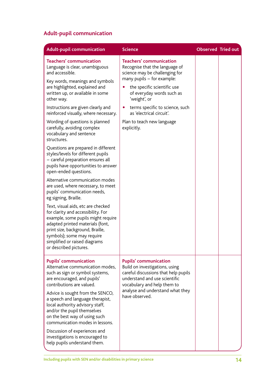## **Adult-pupil communication**

| <b>Adult-pupil communication</b>                                                                                                                                                                                                                                                                                                                                                                                                                                                                                                                                                                                                                                                                                                                                                                                                                                                                                                                                                                            | <b>Science</b>                                                                                                                                                                                                                                                                                                                        | <b>Observed Tried out</b> |  |
|-------------------------------------------------------------------------------------------------------------------------------------------------------------------------------------------------------------------------------------------------------------------------------------------------------------------------------------------------------------------------------------------------------------------------------------------------------------------------------------------------------------------------------------------------------------------------------------------------------------------------------------------------------------------------------------------------------------------------------------------------------------------------------------------------------------------------------------------------------------------------------------------------------------------------------------------------------------------------------------------------------------|---------------------------------------------------------------------------------------------------------------------------------------------------------------------------------------------------------------------------------------------------------------------------------------------------------------------------------------|---------------------------|--|
| <b>Teachers' communication</b><br>Language is clear, unambiguous<br>and accessible.<br>Key words, meanings and symbols<br>are highlighted, explained and<br>written up, or available in some<br>other way.<br>Instructions are given clearly and<br>reinforced visually, where necessary.<br>Wording of questions is planned<br>carefully, avoiding complex<br>vocabulary and sentence<br>structures.<br>Questions are prepared in different<br>styles/levels for different pupils<br>- careful preparation ensures all<br>pupils have opportunities to answer<br>open-ended questions.<br>Alternative communication modes<br>are used, where necessary, to meet<br>pupils' communication needs,<br>eg signing, Braille.<br>Text, visual aids, etc are checked<br>for clarity and accessibility. For<br>example, some pupils might require<br>adapted printed materials (font,<br>print size, background, Braille,<br>symbols); some may require<br>simplified or raised diagrams<br>or described pictures. | <b>Teachers' communication</b><br>Recognise that the language of<br>science may be challenging for<br>many pupils - for example:<br>the specific scientific use<br>of everyday words such as<br>'weight', or<br>terms specific to science, such<br>$\bullet$<br>as 'electrical circuit'.<br>Plan to teach new language<br>explicitly. |                           |  |
| <b>Pupils' communication</b><br>Alternative communication modes,<br>such as sign or symbol systems,<br>are encouraged, and pupils'<br>contributions are valued.<br>Advice is sought from the SENCO,<br>a speech and language therapist,<br>local authority advisory staff,<br>and/or the pupil themselves<br>on the best way of using such<br>communication modes in lessons.<br>Discussion of experiences and<br>investigations is encouraged to<br>help pupils understand them.                                                                                                                                                                                                                                                                                                                                                                                                                                                                                                                           | <b>Pupils' communication</b><br>Build on investigations, using<br>careful discussions that help pupils<br>understand and use scientific<br>vocabulary and help them to<br>analyse and understand what they<br>have observed.                                                                                                          |                           |  |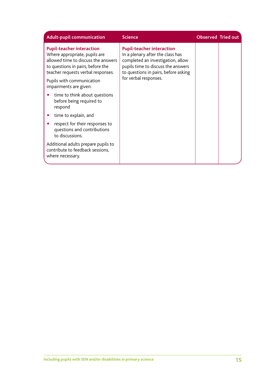| <b>Adult-pupil communication</b>                                                                                                                                                                                 | <b>Science</b>                                                                                                                                                                                                   | <b>Observed Tried out</b> |  |
|------------------------------------------------------------------------------------------------------------------------------------------------------------------------------------------------------------------|------------------------------------------------------------------------------------------------------------------------------------------------------------------------------------------------------------------|---------------------------|--|
| <b>Pupil-teacher interaction</b><br>Where appropriate, pupils are<br>allowed time to discuss the answers<br>to questions in pairs, before the<br>teacher requests verbal responses.<br>Pupils with communication | <b>Pupil-teacher interaction</b><br>In a plenary after the class has<br>completed an investigation, allow<br>pupils time to discuss the answers<br>to questions in pairs, before asking<br>for verbal responses. |                           |  |
| impairments are given:                                                                                                                                                                                           |                                                                                                                                                                                                                  |                           |  |
| time to think about questions<br>before being required to<br>respond                                                                                                                                             |                                                                                                                                                                                                                  |                           |  |
| time to explain, and                                                                                                                                                                                             |                                                                                                                                                                                                                  |                           |  |
| respect for their responses to<br>questions and contributions<br>to discussions.                                                                                                                                 |                                                                                                                                                                                                                  |                           |  |
| Additional adults prepare pupils to<br>contribute to feedback sessions,<br>where necessary.                                                                                                                      |                                                                                                                                                                                                                  |                           |  |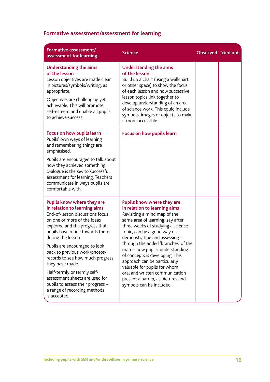## **Formative assessment/assessment for learning**

| Formative assessment/<br>assessment for learning                                                                                                                                                                                                                                                                                                                                                                                                                                                     | <b>Science</b>                                                                                                                                                                                                                                                                                                                                                                                                                                                                                                              | <b>Observed Tried out</b> |  |
|------------------------------------------------------------------------------------------------------------------------------------------------------------------------------------------------------------------------------------------------------------------------------------------------------------------------------------------------------------------------------------------------------------------------------------------------------------------------------------------------------|-----------------------------------------------------------------------------------------------------------------------------------------------------------------------------------------------------------------------------------------------------------------------------------------------------------------------------------------------------------------------------------------------------------------------------------------------------------------------------------------------------------------------------|---------------------------|--|
| <b>Understanding the aims</b><br>of the lesson<br>Lesson objectives are made clear<br>in pictures/symbols/writing, as<br>appropriate.<br>Objectives are challenging yet<br>achievable. This will promote<br>self-esteem and enable all pupils<br>to achieve success.                                                                                                                                                                                                                                 | <b>Understanding the aims</b><br>of the lesson<br>Build up a chart (using a wallchart<br>or other space) to show the focus<br>of each lesson and how successive<br>lesson topics link together to<br>develop understanding of an area<br>of science work. This could include<br>symbols, images or objects to make<br>it more accessible.                                                                                                                                                                                   |                           |  |
| Focus on how pupils learn<br>Pupils' own ways of learning<br>and remembering things are<br>emphasised.<br>Pupils are encouraged to talk about<br>how they achieved something.<br>Dialogue is the key to successful<br>assessment for learning. Teachers<br>communicate in ways pupils are<br>comfortable with.                                                                                                                                                                                       | Focus on how pupils learn                                                                                                                                                                                                                                                                                                                                                                                                                                                                                                   |                           |  |
| Pupils know where they are<br>in relation to learning aims<br>End-of-lesson discussions focus<br>on one or more of the ideas<br>explored and the progress that<br>pupils have made towards them<br>during the lesson.<br>Pupils are encouraged to look<br>back to previous work/photos/<br>records to see how much progress<br>they have made.<br>Half-termly or termly self-<br>assessment sheets are used for<br>pupils to assess their progress -<br>a range of recording methods<br>is accepted. | <b>Pupils know where they are</b><br>in relation to learning aims<br>Revisiting a mind map of the<br>same area of learning, say after<br>three weeks of studying a science<br>topic, can be a good way of<br>demonstrating and assessing -<br>through the added 'branches' of the<br>map - how pupils' understanding<br>of concepts is developing. This<br>approach can be particularly<br>valuable for pupils for whom<br>oral and written communication<br>present a barrier, as pictures and<br>symbols can be included. |                           |  |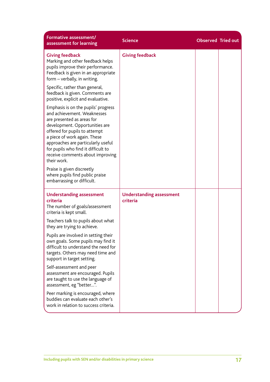| Formative assessment/<br>assessment for learning                                                                                                                                                                                                                                                                                    | <b>Science</b>                              | <b>Observed Tried out</b> |  |
|-------------------------------------------------------------------------------------------------------------------------------------------------------------------------------------------------------------------------------------------------------------------------------------------------------------------------------------|---------------------------------------------|---------------------------|--|
| <b>Giving feedback</b><br>Marking and other feedback helps<br>pupils improve their performance.<br>Feedback is given in an appropriate<br>form - verbally, in writing.                                                                                                                                                              | <b>Giving feedback</b>                      |                           |  |
| Specific, rather than general,<br>feedback is given. Comments are<br>positive, explicit and evaluative.                                                                                                                                                                                                                             |                                             |                           |  |
| Emphasis is on the pupils' progress<br>and achievement. Weaknesses<br>are presented as areas for<br>development. Opportunities are<br>offered for pupils to attempt<br>a piece of work again. These<br>approaches are particularly useful<br>for pupils who find it difficult to<br>receive comments about improving<br>their work. |                                             |                           |  |
| Praise is given discreetly<br>where pupils find public praise<br>embarrassing or difficult.                                                                                                                                                                                                                                         |                                             |                           |  |
| <b>Understanding assessment</b><br>criteria<br>The number of goals/assessment<br>criteria is kept small.                                                                                                                                                                                                                            | <b>Understanding assessment</b><br>criteria |                           |  |
| Teachers talk to pupils about what<br>they are trying to achieve.                                                                                                                                                                                                                                                                   |                                             |                           |  |
| Pupils are involved in setting their<br>own goals. Some pupils may find it<br>difficult to understand the need for<br>targets. Others may need time and<br>support in target setting.                                                                                                                                               |                                             |                           |  |
| Self-assessment and peer<br>assessment are encouraged. Pupils<br>are taught to use the language of<br>assessment, eg "better".                                                                                                                                                                                                      |                                             |                           |  |
| Peer marking is encouraged, where<br>buddies can evaluate each other's<br>work in relation to success criteria.                                                                                                                                                                                                                     |                                             |                           |  |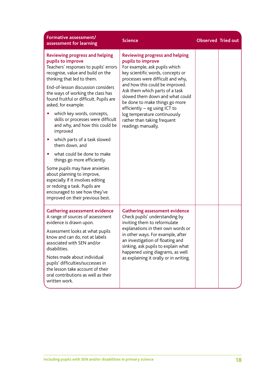| Formative assessment/<br>assessment for learning                                                                                                                                                                                                                                                                                                                                                                                                                                                                                                                                                                                                                                                                                                                                  | <b>Science</b>                                                                                                                                                                                                                                                                                                                                                                                                                        | <b>Observed Tried out</b> |  |
|-----------------------------------------------------------------------------------------------------------------------------------------------------------------------------------------------------------------------------------------------------------------------------------------------------------------------------------------------------------------------------------------------------------------------------------------------------------------------------------------------------------------------------------------------------------------------------------------------------------------------------------------------------------------------------------------------------------------------------------------------------------------------------------|---------------------------------------------------------------------------------------------------------------------------------------------------------------------------------------------------------------------------------------------------------------------------------------------------------------------------------------------------------------------------------------------------------------------------------------|---------------------------|--|
| <b>Reviewing progress and helping</b><br>pupils to improve<br>Teachers' responses to pupils' errors<br>recognise, value and build on the<br>thinking that led to them.<br>End-of-lesson discussion considers<br>the ways of working the class has<br>found fruitful or difficult. Pupils are<br>asked, for example:<br>which key words, concepts,<br>skills or processes were difficult<br>and why, and how this could be<br>improved<br>which parts of a task slowed<br>$\bullet$<br>them down, and<br>what could be done to make<br>۰<br>things go more efficiently.<br>Some pupils may have anxieties<br>about planning to improve,<br>especially if it involves editing<br>or redoing a task. Pupils are<br>encouraged to see how they've<br>improved on their previous best. | <b>Reviewing progress and helping</b><br>pupils to improve<br>For example, ask pupils which<br>key scientific words, concepts or<br>processes were difficult and why,<br>and how this could be improved.<br>Ask them which parts of a task<br>slowed them down and what could<br>be done to make things go more<br>efficiently - eg using ICT to<br>log temperature continuously<br>rather than taking frequent<br>readings manually. |                           |  |
| <b>Gathering assessment evidence</b><br>A range of sources of assessment<br>evidence is drawn upon.<br>Assessment looks at what pupils<br>know and can do, not at labels<br>associated with SEN and/or<br>disabilities.<br>Notes made about individual<br>pupils' difficulties/successes in<br>the lesson take account of their<br>oral contributions as well as their<br>written work.                                                                                                                                                                                                                                                                                                                                                                                           | <b>Gathering assessment evidence</b><br>Check pupils' understanding by<br>inviting them to reformulate<br>explanations in their own words or<br>in other ways. For example, after<br>an investigation of floating and<br>sinking, ask pupils to explain what<br>happened using diagrams, as well<br>as explaining it orally or in writing.                                                                                            |                           |  |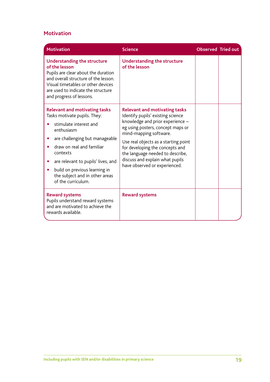### **Motivation**

| <b>Motivation</b>                                                                                                                                                                                                                                                                                                                                             | <b>Science</b>                                                                                                                                                                                                                                                                                                                                                  | <b>Observed Tried out</b> |  |
|---------------------------------------------------------------------------------------------------------------------------------------------------------------------------------------------------------------------------------------------------------------------------------------------------------------------------------------------------------------|-----------------------------------------------------------------------------------------------------------------------------------------------------------------------------------------------------------------------------------------------------------------------------------------------------------------------------------------------------------------|---------------------------|--|
| <b>Understanding the structure</b><br>of the lesson<br>Pupils are clear about the duration<br>and overall structure of the lesson.<br>Visual timetables or other devices<br>are used to indicate the structure<br>and progress of lessons.                                                                                                                    | <b>Understanding the structure</b><br>of the lesson                                                                                                                                                                                                                                                                                                             |                           |  |
| <b>Relevant and motivating tasks</b><br>Tasks motivate pupils. They:<br>stimulate interest and<br>enthusiasm<br>are challenging but manageable<br>$\bullet$<br>draw on real and familiar<br>contexts<br>are relevant to pupils' lives, and<br>$\bullet$<br>build on previous learning in<br>$\bullet$<br>the subject and in other areas<br>of the curriculum. | <b>Relevant and motivating tasks</b><br>Identify pupils' existing science<br>knowledge and prior experience -<br>eg using posters, concept maps or<br>mind-mapping software.<br>Use real objects as a starting point<br>for developing the concepts and<br>the language needed to describe,<br>discuss and explain what pupils<br>have observed or experienced. |                           |  |
| <b>Reward systems</b><br>Pupils understand reward systems<br>and are motivated to achieve the<br>rewards available.                                                                                                                                                                                                                                           | <b>Reward systems</b>                                                                                                                                                                                                                                                                                                                                           |                           |  |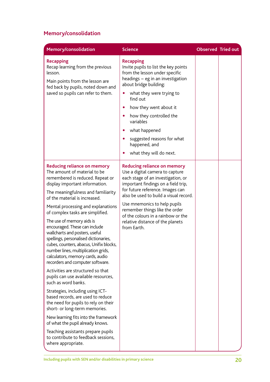## **Memory/consolidation**

| Memory/consolidation                                                                                                                                                                                                                                                                                                                                                                                                                                                                                                                                                                                                                                                                                                                                                                                                                                                                                                                                                                                                             | <b>Science</b>                                                                                                                                                                                                                                                                                                                                                                              | <b>Observed Tried out</b> |  |
|----------------------------------------------------------------------------------------------------------------------------------------------------------------------------------------------------------------------------------------------------------------------------------------------------------------------------------------------------------------------------------------------------------------------------------------------------------------------------------------------------------------------------------------------------------------------------------------------------------------------------------------------------------------------------------------------------------------------------------------------------------------------------------------------------------------------------------------------------------------------------------------------------------------------------------------------------------------------------------------------------------------------------------|---------------------------------------------------------------------------------------------------------------------------------------------------------------------------------------------------------------------------------------------------------------------------------------------------------------------------------------------------------------------------------------------|---------------------------|--|
| <b>Recapping</b><br>Recap learning from the previous<br>lesson.<br>Main points from the lesson are<br>fed back by pupils, noted down and<br>saved so pupils can refer to them.                                                                                                                                                                                                                                                                                                                                                                                                                                                                                                                                                                                                                                                                                                                                                                                                                                                   | <b>Recapping</b><br>Invite pupils to list the key points<br>from the lesson under specific<br>headings - eg in an investigation<br>about bridge building:<br>what they were trying to<br>$\bullet$<br>find out<br>how they went about it<br>how they controlled the<br>۰<br>variables<br>what happened<br>$\bullet$<br>suggested reasons for what                                           |                           |  |
|                                                                                                                                                                                                                                                                                                                                                                                                                                                                                                                                                                                                                                                                                                                                                                                                                                                                                                                                                                                                                                  | happened, and<br>what they will do next.                                                                                                                                                                                                                                                                                                                                                    |                           |  |
| <b>Reducing reliance on memory</b><br>The amount of material to be<br>remembered is reduced. Repeat or<br>display important information.<br>The meaningfulness and familiarity<br>of the material is increased.<br>Mental processing and explanations<br>of complex tasks are simplified.<br>The use of memory aids is<br>encouraged. These can include<br>wallcharts and posters, useful<br>spellings, personalised dictionaries,<br>cubes, counters, abacus, Unifix blocks,<br>number lines, multiplication grids,<br>calculators, memory cards, audio<br>recorders and computer software.<br>Activities are structured so that<br>pupils can use available resources,<br>such as word banks.<br>Strategies, including using ICT-<br>based records, are used to reduce<br>the need for pupils to rely on their<br>short- or long-term memories.<br>New learning fits into the framework<br>of what the pupil already knows.<br>Teaching assistants prepare pupils<br>to contribute to feedback sessions,<br>where appropriate. | <b>Reducing reliance on memory</b><br>Use a digital camera to capture<br>each stage of an investigation, or<br>important findings on a field trip,<br>for future reference. Images can<br>also be used to build a visual record.<br>Use mnemonics to help pupils<br>remember things like the order<br>of the colours in a rainbow or the<br>relative distance of the planets<br>from Earth. |                           |  |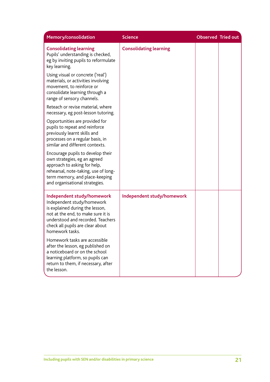| Memory/consolidation                                                                                                                                                                                                          | <b>Science</b>                | <b>Observed Tried out</b> |  |
|-------------------------------------------------------------------------------------------------------------------------------------------------------------------------------------------------------------------------------|-------------------------------|---------------------------|--|
| <b>Consolidating learning</b><br>Pupils' understanding is checked,<br>eg by inviting pupils to reformulate<br>key learning.                                                                                                   | <b>Consolidating learning</b> |                           |  |
| Using visual or concrete ('real')<br>materials, or activities involving<br>movement, to reinforce or<br>consolidate learning through a<br>range of sensory channels.                                                          |                               |                           |  |
| Reteach or revise material, where<br>necessary, eg post-lesson tutoring.                                                                                                                                                      |                               |                           |  |
| Opportunities are provided for<br>pupils to repeat and reinforce<br>previously learnt skills and<br>processes on a regular basis, in<br>similar and different contexts.                                                       |                               |                           |  |
| Encourage pupils to develop their<br>own strategies, eg an agreed<br>approach to asking for help,<br>rehearsal, note-taking, use of long-<br>term memory, and place-keeping<br>and organisational strategies.                 |                               |                           |  |
| Independent study/homework<br>Independent study/homework<br>is explained during the lesson,<br>not at the end, to make sure it is<br>understood and recorded. Teachers<br>check all pupils are clear about<br>homework tasks. | Independent study/homework    |                           |  |
| Homework tasks are accessible<br>after the lesson, eg published on<br>a noticeboard or on the school<br>learning platform, so pupils can<br>return to them, if necessary, after<br>the lesson.                                |                               |                           |  |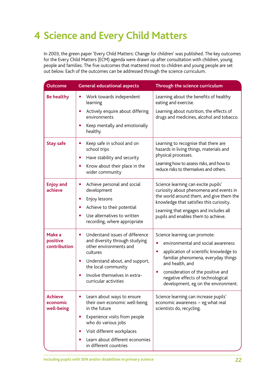# **4 Science and Every Child Matters**

In 2003, the green paper 'Every Child Matters: Change for children' was published. The key outcomes for the Every Child Matters (ECM) agenda were drawn up after consultation with children, young people and families. The five outcomes that mattered most to children and young people are set out below. Each of the outcomes can be addressed through the science curriculum.

| <b>Outcome</b>                           | <b>General educational aspects</b>                                                                                                                                                                                                                  | Through the science curriculum                                                                                                                                                                                                                                                                                     |
|------------------------------------------|-----------------------------------------------------------------------------------------------------------------------------------------------------------------------------------------------------------------------------------------------------|--------------------------------------------------------------------------------------------------------------------------------------------------------------------------------------------------------------------------------------------------------------------------------------------------------------------|
| <b>Be healthy</b>                        | Work towards independent<br>٠<br>learning                                                                                                                                                                                                           | Learning about the benefits of healthy<br>eating and exercise.                                                                                                                                                                                                                                                     |
|                                          | Actively enquire about differing<br>environments                                                                                                                                                                                                    | Learning about nutrition, the effects of<br>drugs and medicines, alcohol and tobacco.                                                                                                                                                                                                                              |
|                                          | Keep mentally and emotionally<br>healthy                                                                                                                                                                                                            |                                                                                                                                                                                                                                                                                                                    |
| <b>Stay safe</b>                         | Keep safe in school and on<br>school trips<br>Have stability and security<br>$\bullet$                                                                                                                                                              | Learning to recognise that there are<br>hazards in living things, materials and<br>physical processes.                                                                                                                                                                                                             |
|                                          | Know about their place in the<br>wider community                                                                                                                                                                                                    | Learning how to assess risks, and how to<br>reduce risks to themselves and others.                                                                                                                                                                                                                                 |
| <b>Enjoy and</b><br>achieve              | Achieve personal and social<br>development<br>Enjoy lessons<br>Achieve to their potential<br>Use alternatives to written<br>recording, where appropriate                                                                                            | Science learning can excite pupils'<br>curiosity about phenomena and events in<br>the world around them, and give them the<br>knowledge that satisfies this curiosity.<br>Learning that engages and includes all<br>pupils and enables them to achieve.                                                            |
| Make a<br>positive<br>contribution       | Understand issues of difference<br>$\bullet$<br>and diversity through studying<br>other environments and<br>cultures<br>Understand about, and support,<br>$\bullet$<br>the local community<br>Involve themselves in extra-<br>curricular activities | Science learning can promote:<br>environmental and social awareness<br>application of scientific knowledge to<br>$\bullet$<br>familiar phenomena, everyday things<br>and health, and<br>consideration of the positive and<br>$\bullet$<br>negative effects of technological<br>development, eg on the environment. |
| <b>Achieve</b><br>economic<br>well-being | Learn about ways to ensure<br>$\bullet$<br>their own economic well-being<br>in the future<br>Experience visits from people<br>$\bullet$                                                                                                             | Science learning can increase pupils'<br>economic awareness - eg what real<br>scientists do, recycling.                                                                                                                                                                                                            |
|                                          | who do various jobs                                                                                                                                                                                                                                 |                                                                                                                                                                                                                                                                                                                    |
|                                          | Visit different workplaces                                                                                                                                                                                                                          |                                                                                                                                                                                                                                                                                                                    |
|                                          | Learn about different economies<br>in different countries                                                                                                                                                                                           |                                                                                                                                                                                                                                                                                                                    |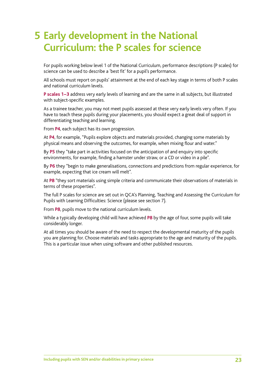## **Early development in the National 5 Curriculum: the P scales for science**

For pupils working below level 1 of the National Curriculum, performance descriptions (P scales) for science can be used to describe a 'best fit' for a pupil's performance.

All schools must report on pupils' attainment at the end of each key stage in terms of both P scales and national curriculum levels.

**P scales 1−3** address very early levels of learning and are the same in all subjects, but illustrated with subject-specific examples.

As a trainee teacher, you may not meet pupils assessed at these very early levels very often. If you have to teach these pupils during your placements, you should expect a great deal of support in differentiating teaching and learning.

From **P4**, each subject has its own progression.

At **P4**, for example, "Pupils explore objects and materials provided, changing some materials by physical means and observing the outcomes, for example, when mixing flour and water."

By **P5** they "take part in activities focused on the anticipation of and enquiry into specific environments, for example, finding a hamster under straw, or a CD or video in a pile".

By **P6** they "begin to make generalisations, connections and predictions from regular experience, for example, expecting that ice cream will melt".

At **P8** "they sort materials using simple criteria and communicate their observations of materials in terms of these properties".

The full P scales for science are set out in QCA's Planning, Teaching and Assessing the Curriculum for Pupils with Learning Difficulties: Science (please see section 7).

From **P8**, pupils move to the national curriculum levels.

While a typically developing child will have achieved **P8** by the age of four, some pupils will take considerably longer.

At all times you should be aware of the need to respect the developmental maturity of the pupils you are planning for. Choose materials and tasks appropriate to the age and maturity of the pupils. This is a particular issue when using software and other published resources.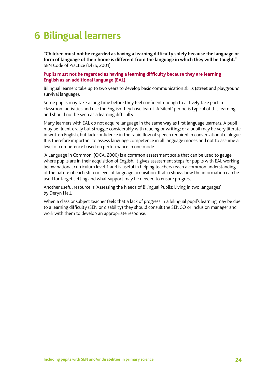## **6 Bilingual learners**

**"Children must not be regarded as having a learning difficulty solely because the language or form of language of their home is different from the language in which they will be taught."** SEN Code of Practice (DfES, 2001)

**Pupils must not be regarded as having a learning difficulty because they are learning English as an additional language (EAL).**

Bilingual learners take up to two years to develop basic communication skills (street and playground survival language).

Some pupils may take a long time before they feel confident enough to actively take part in classroom activities and use the English they have learnt. A 'silent' period is typical of this learning and should not be seen as a learning difficulty.

Many learners with EAL do not acquire language in the same way as first language learners. A pupil may be fluent orally but struggle considerably with reading or writing; or a pupil may be very literate in written English, but lack confidence in the rapid flow of speech required in conversational dialogue. It is therefore important to assess language competence in all language modes and not to assume a level of competence based on performance in one mode.

'A Language in Common' (QCA, 2000) is a common assessment scale that can be used to gauge where pupils are in their acquisition of English. It gives assessment steps for pupils with EAL working below national curriculum level 1 and is useful in helping teachers reach a common understanding of the nature of each step or level of language acquisition. It also shows how the information can be used for target setting and what support may be needed to ensure progress.

Another useful resource is 'Assessing the Needs of Bilingual Pupils: Living in two languages' by Deryn Hall.

When a class or subject teacher feels that a lack of progress in a bilingual pupil's learning may be due to a learning difficulty (SEN or disability) they should consult the SENCO or inclusion manager and work with them to develop an appropriate response.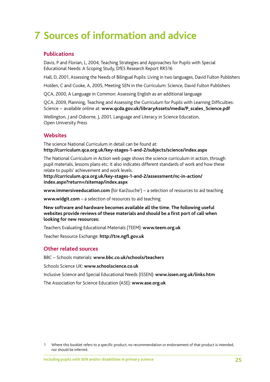# **7 Sources of information and advice**

#### **Publications**

Davis, P and Florian, L, 2004, Teaching Strategies and Approaches for Pupils with Special Educational Needs: A Scoping Study, DfES Research Report RR516

Hall, D, 2001, Assessing the Needs of Bilingual Pupils: Living in two languages, David Fulton Publishers

Holden, C and Cooke, A, 2005, Meeting SEN in the Curriculum: Science, David Fulton Publishers

QCA, 2000, A Language in Common: Assessing English as an additional language

QCA, 2009, Planning, Teaching and Assessing the Curriculum for Pupils with Learning Difficulties: Science − available online at: **www.qcda.gov.uk/libraryAssets/media/P\_scales\_Science.pdf**

Wellington, J and Osborne, J, 2001, Language and Literacy in Science Education, Open University Press

#### **Websites**

The science National Curriculum in detail can be found at: **http://curriculum.qca.org.uk/key-stages-1-and-2/subjects/science/index.aspx**

The National Curriculum in Action web page shows the science curriculum in action, through pupil materials, lessons plans etc. It also indicates different standards of work and how these relate to pupils' achievement and work levels.

**[http://curriculum.qca.org.uk/key-stages-1-and-2/assessment/nc-in-action/](http://curriculum.qca.org.uk/key-stages-1-and-2/assessment/nc-in-action/index.aspx?return=/sitemap/index.aspx) [index.aspx?return=/sitemap/index.aspx](http://curriculum.qca.org.uk/key-stages-1-and-2/assessment/nc-in-action/index.aspx?return=/sitemap/index.aspx)**

www.immersiveeducation.com (for Kar2ouche<sup>1</sup>) – a selection of resources to aid teaching

**www.widgit.com** – a selection of resources to aid teaching

**New software and hardware becomes available all the time. The following useful websites provide reviews of these materials and should be a first port of call when looking for new resources:**

Teachers Evaluating Educational Materials (TEEM): **www.teem.org.uk** 

Teacher Resource Exchange: **http://tre.ngfl.gov.uk**

#### **Other related sources**

BBC – Schools materials: **www.bbc.co.uk/schools/teachers**

Schools Science UK: **www.schoolscience.co.uk**

Inclusive Science and Special Educational Needs (ISSEN): **www.issen.org.uk/links.htm**

The Association for Science Education (ASE): **www.ase.org.uk**

<sup>1</sup> Where this booklet refers to a specific product, no recommendation or endorsement of that product is intended, nor should be inferred.